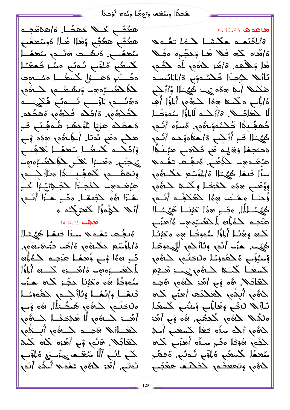لمُحدًّا وِسُعْم وَرُوهُا وِشُومِ أَوْحِدًا

هَعُبُبٍ كَمِلًا تَعْمُمُ أَوْ وَاهْلَاهُ مِنْ هَهُكُم هَهُكُم وُهُاا هُـاا هُمِنْعَمَـٰمِ مَعمٌبٍ. ەَنھُــڊ ھُتُــهِ مَعمُــا لَكْسِعَيْنَ هَٰلِؤْبِ شُمْنَى مِنْدَ خُمِعَنَا ا ەجَـــْتَىر ەَھـــۇل كَسْعُـــا ەئــــەم لِمُلْمُشْبَرُهُ مِنْ وَسَقَّعْتُ مِنْ الْمُسْتَمَرِ وَسَقَّعْتُ ەھەئسىم ناۋىسى ئىسىم قىلىمىسى لِمُبْلِغُوهُ وَالْجَلْمِ شُلْخُوهُ وَهِجُدِهِ. ەْھەڭدە ھۇيا لمۇھەد ھەھَىسٌ كَبِر هلُم هُمْ نُهِلْ أَمَدُهُ مِهِ وَهُمْ قَبْلِ وْاجْلَــهِ كَسِعُــا مُعِمُــا كَلاَقِمَــمِ تحجُّم. وقسيرًا تَكْس لِمُكْمِنْ وَمِنْ وتعفُّـــــــــم كَحقِّبـــــدُا مَنَاأَجــــــــــم هُـٰٓ;ا هُ٥ كَجْبَهْـا. هجّْمِ هـُ;ا أَنَّـهِ أأملا للمُووُّا لَكْعَدَكُمْ \*  $14.14.23$   $\Delta$ وَسِفَدِ مَعْدِهِ مِعْدًا قَبْضًا هَيْمَال ةَ المؤَمِّمِ مِكْمَةُ مِ وَاهُمَا تَزْمِةَ مِثْحَمٍ. كُمْ هَاْ وْمِ زَهِمًا عَبْحِـهِ كَمَٰلُهُ لَمَعْكَمُ بِهِ وَوَصِ وَاهْلِ وَوَصِ الْمَاءُ مُدَوْخُلُ ٥٥ دَيْرُبُلْ حَجَّـ: كَــْرَهِ ــمــُوْب

قبقا وإنما وبالأجل حقَّونا ەللەنسە للىۋە ھُىخْتَلَا. ھۇ قې أهَبَ كَمْ هُومٍ لَا هُجْهَدْ لَمْ دَهُومٍ حَقَدَ أَنَمَهُ مَجْسَدٍ حَمْدَةً مِنْ أَبْسَنَدُهِ مِ لَمَعْلَمُلاً. وَهُمْ فِي أَهَٰذِهِ كَمَنَ لَمَنَاهُ كِنَاءَ مِنْ سَمْعَتْ الْمَاكِنَةِ مِنْكُمْ مِنْكُمْ مِنْكُمْ مِنْكُمْ نُمنُى. أَهُدَ لِمَوْهِ، تَعْمَدُ أَنكُو أَنَّهِ،

 $6.30.46$   $20.30$ ة/لِمَنَّعَـدِ حَكْسَـل حَـدُ تَعْـدِ ةَ/هُزِهِ لَاهِ ثَلا هُـا يُحجِّبِهِ هِئُـلا هُا وَمَلْاَهِهِ. وَاهُمْ لَهُ مِ أَه لَكُمْ ئاأىلا جْجِبُ اخْلَشْمَهُم وْالْمَلْسُمْ بَكِنَّمَا وَالْمَرْيَةِ مِنْ مَوْمٍ مِنْ كَمَكْتُمْ هُ/لَمِـــ مكْـــٰدُ هِهُ| كَـــُهُومِ ٱلْمِؤُا أُفِ لًا حَعْلاَجُـــــــا ، وَأَنْـحَـــم لَّالِمُوْا مِنُموخُـــا َخُعَفِّىبَدُا خَكْشَهَمْتُوْمِ, ەَسَرُه أَنَّـمٍ هَيُمَاا ثَبِ أَأَجِبِ وَاحْكُووَهِم أَنَّو ەَجىّج**ەْ** زەھمە ھُم ئُكْھَى ھەئىگا هُبِمَك وَمِن كَلِّكُمْسٍ وَالصَّلَّ عَشَمْ مَلَا مِمَا أَسْمَا هَيُمَا وَالْمَؤْمَنِ حَكْمَةً وَوُهْمَا وَهُ مَا الْمُؤْتُمَا وَكُنْكُمْ كَافُوهِ وُحْنُـا مَـمَّـزُب هِهُ| لِلطَّكْفُـهِ أَنَّـمَ الْمُهْمَالِمَالِ وَجَدٍ هِوَا تَدْرُسًا هَيُمُالِ هَ وَحد مَلَّكُمْ مَنْ الْمَعْدَ وَاللَّهُ مِنْ مَا مَنْ مَا مِنْ مَا مِنْ مَا مِنْ مَا مِنْ مَا مِن لَّكُلُّهُ وَهُنُـا أَبْلُؤُا مُنُوخُـا ۞ ٥ دَبُرُنُـا هَيُبٍ. هِنَد أَنُمٍ وِتَأَأَيْهِم لَلْإِحْوَاطِ وَمُبُوَّسٍ هَ لَكُمُوْسًا وَلَاحَلُّمِ ۚ لَاهُ مِ بَعْيَــة مِنْ مِنْ مَا مَنْ مَا سَمْتُ الْمُسْكَمْ لِكَعْلَاَبِكَلَا. ۞ و فَهِم أَهَدَ لَكُنَّهُمْ وَهُجِمَ لِحَدُّهِ, أَبِيْمَهِ, لَمَعْلَمُكُمْ أُهْبَى لَمُدَّه تَـالَٰہٗ نَانَـٰۖ وَهُالَمِ وَّسَّٰٓ كَـٰمَعُـا هَنْكُمْلًا ۚ لَحَقُوبٌ ۖ كُحْقُبٌ ۖ وَقَوْمٍ ۚ أَهَٰذَ لِحَدُّهِ, أَلَمْ سَلَّهِ تَعْدَلَ لَمُسَعَّبٍ أَسْمَ َكَثِّمٍ هُوَتُدَ هَجْمٍ مَثَرَه أُهْنُبِ كَلَّه مَعْمَا كَمْعُمْ هَاوْمٍ نُوتُمْ. هُفِقَهِ لِمَوْهِ وَتَعْعَدِّمِ لِلْأَلِمَاتِ عَعْدَتِ